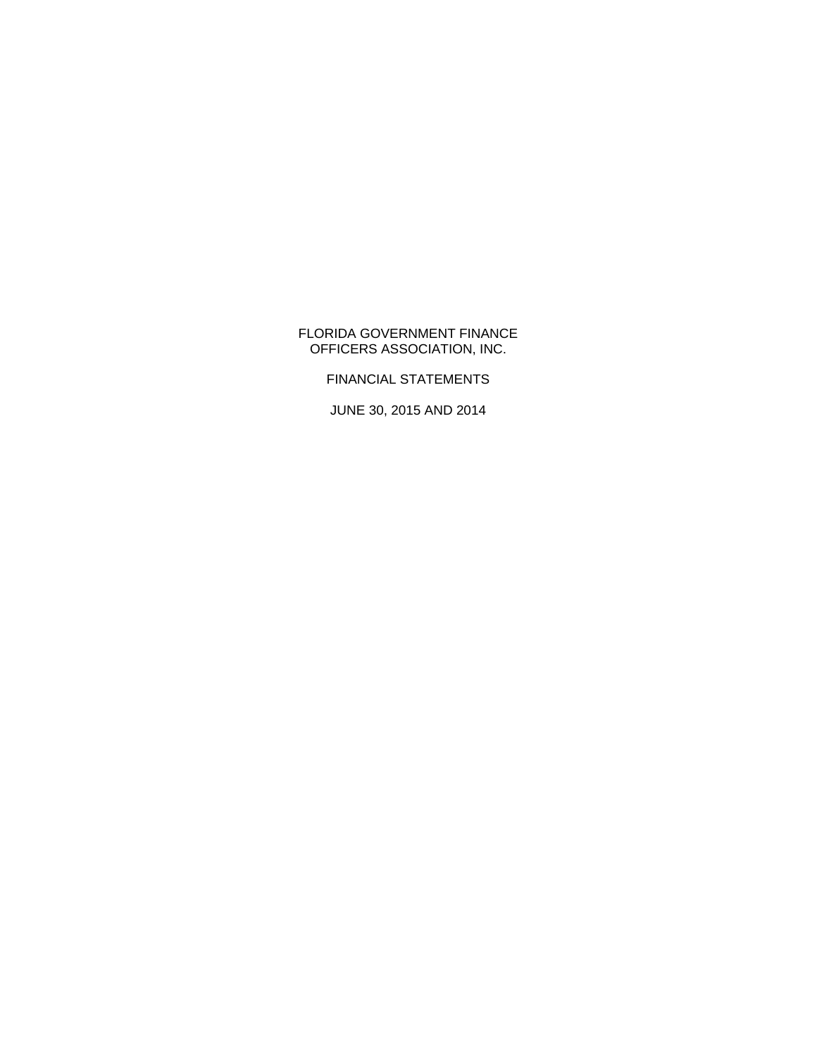### FLORIDA GOVERNMENT FINANCE OFFICERS ASSOCIATION, INC.

FINANCIAL STATEMENTS

JUNE 30, 2015 AND 2014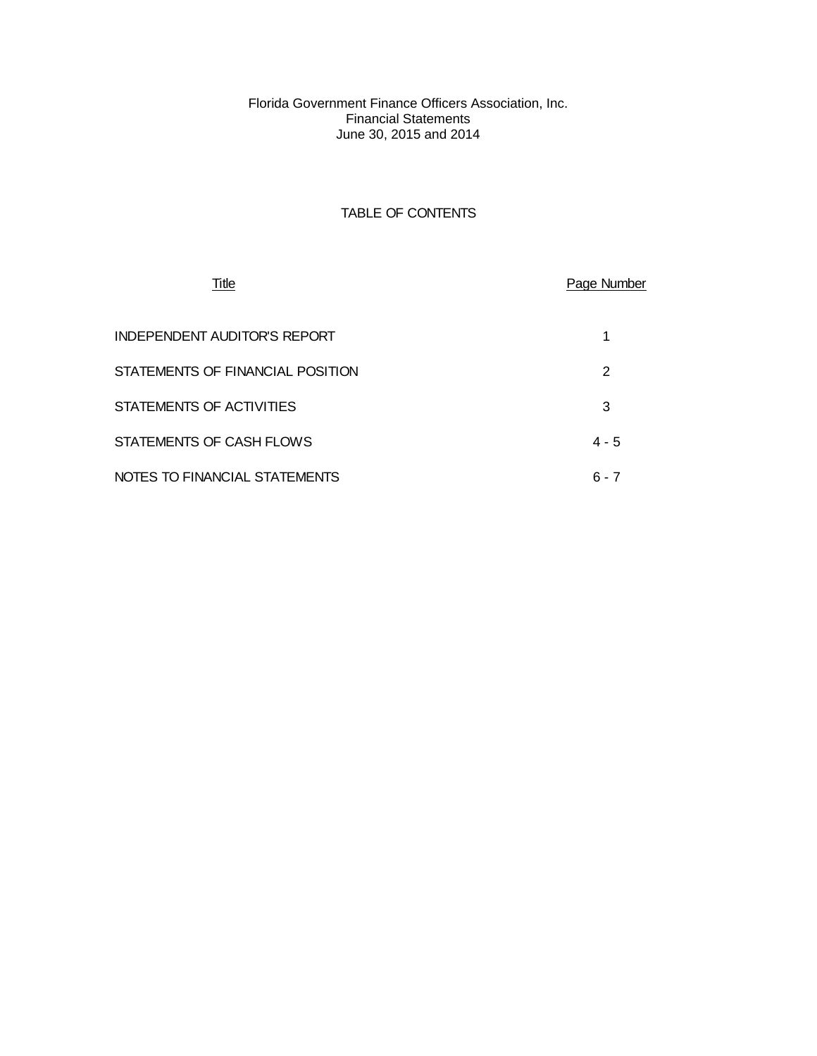Florida Government Finance Officers Association, Inc. Financial Statements June 30, 2015 and 2014

## TABLE OF CONTENTS

| <b>Title</b>                     | Page Number |
|----------------------------------|-------------|
| INDEPENDENT AUDITOR'S REPORT     | 1           |
| STATEMENTS OF FINANCIAL POSITION | 2           |
| STATEMENTS OF ACTIVITIES         | 3           |
| STATEMENTS OF CASH FLOWS         | $4 - 5$     |
| NOTES TO FINANCIAL STATEMENTS    | $6 - 7$     |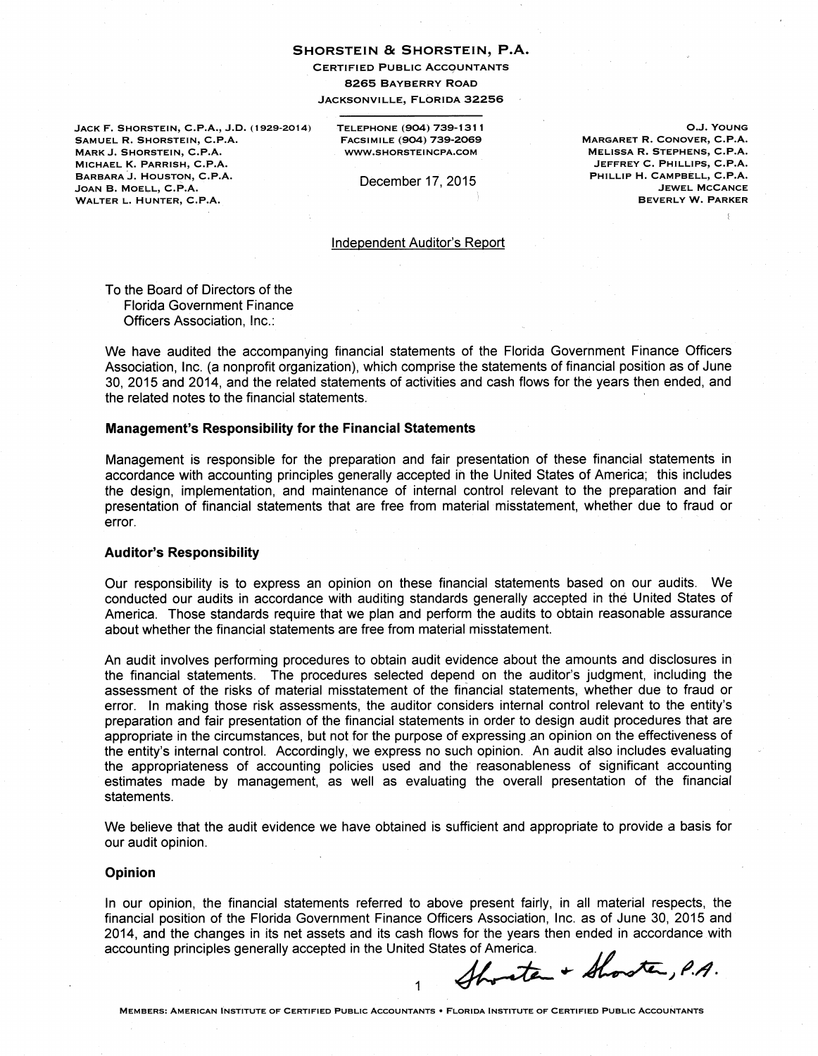#### SHORSTEIN & SHORSTEIN, P.A.

**CERTIFIED PUBLIC ACCOUNTANTS 8265 BAYBERRY ROAD** 

JACKSONVILLE, FLORIDA 32256

JACK F. SHORSTEIN, C.P.A., J.D. (1929-2014) SAMUEL R. SHORSTEIN, C.P.A. MARK J. SHORSTEIN, C.P.A. MICHAEL K. PARRISH, C.P.A. BARBARA J. HOUSTON, C.P.A. JOAN B. MOELL. C.P.A. WALTER L. HUNTER, C.P.A.

TELEPHONE (904) 739-1311 FACSIMILE (904) 739-2069 WWW.SHORSTEINCPA.COM

December 17, 2015

O.J. YOUNG MARGARET R. CONOVER, C.P.A. MELISSA R. STEPHENS, C.P.A. JEFFREY C. PHILLIPS, C.P.A. PHILLIP H. CAMPBELL, C.P.A. **JEWEL MCCANCE BEVERLY W. PARKER** 

#### Independent Auditor's Report

To the Board of Directors of the **Florida Government Finance** Officers Association. Inc.:

We have audited the accompanying financial statements of the Florida Government Finance Officers Association, Inc. (a nonprofit organization), which comprise the statements of financial position as of June 30, 2015 and 2014, and the related statements of activities and cash flows for the years then ended, and the related notes to the financial statements.

#### **Management's Responsibility for the Financial Statements**

Management is responsible for the preparation and fair presentation of these financial statements in accordance with accounting principles generally accepted in the United States of America; this includes the design, implementation, and maintenance of internal control relevant to the preparation and fair presentation of financial statements that are free from material misstatement, whether due to fraud or error.

### **Auditor's Responsibility**

Our responsibility is to express an opinion on these financial statements based on our audits. We conducted our audits in accordance with auditing standards generally accepted in the United States of America. Those standards require that we plan and perform the audits to obtain reasonable assurance about whether the financial statements are free from material misstatement.

An audit involves performing procedures to obtain audit evidence about the amounts and disclosures in the financial statements. The procedures selected depend on the auditor's judgment, including the assessment of the risks of material misstatement of the financial statements, whether due to fraud or error. In making those risk assessments, the auditor considers internal control relevant to the entity's preparation and fair presentation of the financial statements in order to design audit procedures that are appropriate in the circumstances, but not for the purpose of expressing an opinion on the effectiveness of the entity's internal control. Accordingly, we express no such opinion. An audit also includes evaluating the appropriateness of accounting policies used and the reasonableness of significant accounting estimates made by management, as well as evaluating the overall presentation of the financial statements.

We believe that the audit evidence we have obtained is sufficient and appropriate to provide a basis for our audit opinion.

#### Opinion

In our opinion, the financial statements referred to above present fairly, in all material respects, the financial position of the Florida Government Finance Officers Association, Inc. as of June 30, 2015 and 2014, and the changes in its net assets and its cash flows for the years then ended in accordance with accounting principles generally accepted in the United States of America.

thouten + Shorter, P.A.

MEMBERS: AMERICAN INSTITUTE OF CERTIFIED PUBLIC ACCOUNTANTS . FLORIDA INSTITUTE OF CERTIFIED PUBLIC ACCOUNTANTS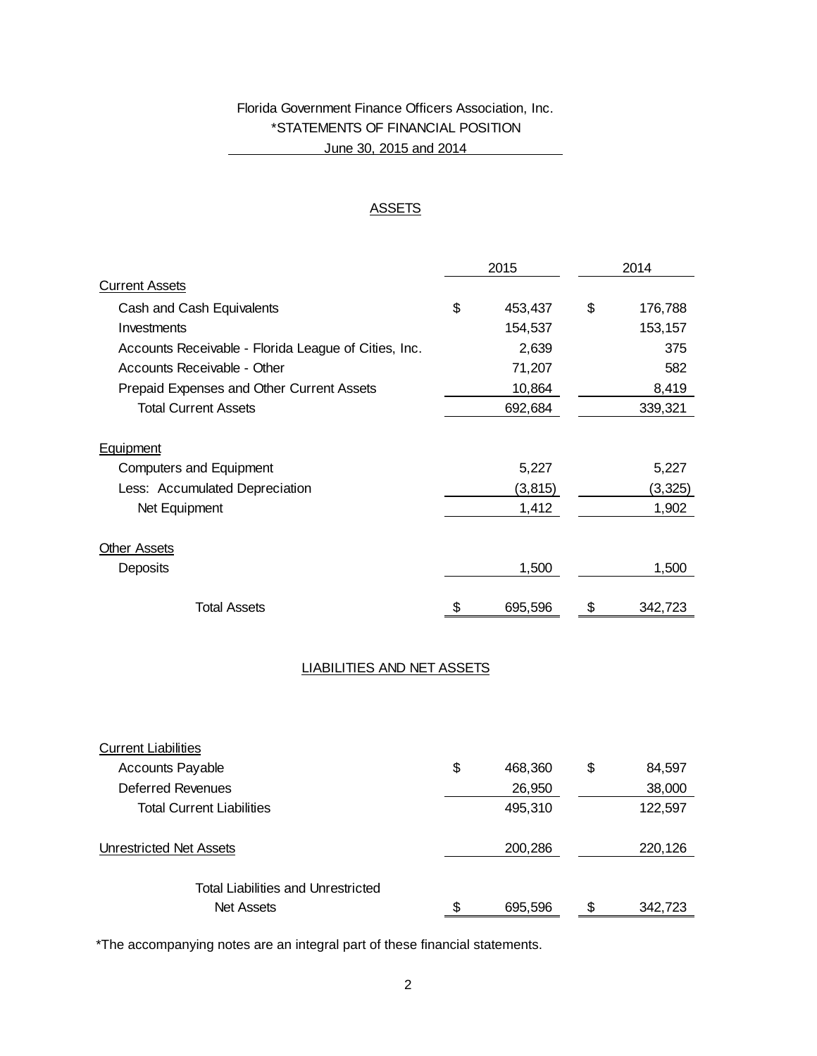# Florida Government Finance Officers Association, Inc. \*STATEMENTS OF FINANCIAL POSITION June 30, 2015 and 2014

## **ASSETS**

|                                                      |    | 2015     |    | 2014    |  |
|------------------------------------------------------|----|----------|----|---------|--|
| <b>Current Assets</b>                                |    |          |    |         |  |
| Cash and Cash Equivalents                            | \$ | 453,437  | \$ | 176,788 |  |
| Investments                                          |    | 154,537  |    | 153,157 |  |
| Accounts Receivable - Florida League of Cities, Inc. |    | 2,639    |    | 375     |  |
| Accounts Receivable - Other                          |    | 71,207   |    | 582     |  |
| Prepaid Expenses and Other Current Assets            |    | 10,864   |    | 8,419   |  |
| <b>Total Current Assets</b>                          |    | 692,684  |    | 339,321 |  |
| <b>Equipment</b>                                     |    |          |    |         |  |
| <b>Computers and Equipment</b>                       |    | 5,227    |    | 5,227   |  |
| Less: Accumulated Depreciation                       |    | (3, 815) |    | (3,325) |  |
| Net Equipment                                        |    | 1,412    |    | 1,902   |  |
| <b>Other Assets</b>                                  |    |          |    |         |  |
| Deposits                                             |    | 1,500    |    | 1,500   |  |
| <b>Total Assets</b>                                  |    | 695,596  | \$ | 342,723 |  |
|                                                      |    |          |    |         |  |

# LIABILITIES AND NET ASSETS

| <b>Current Liabilities</b>         |     |         |   |         |
|------------------------------------|-----|---------|---|---------|
| <b>Accounts Payable</b>            | \$  | 468,360 | S | 84,597  |
| Deferred Revenues                  |     | 26,950  |   | 38,000  |
| <b>Total Current Liabilities</b>   |     | 495,310 |   | 122,597 |
| Unrestricted Net Assets            |     | 200,286 |   | 220,126 |
| Total Liabilities and Unrestricted |     |         |   |         |
| <b>Net Assets</b>                  | \$. | 695,596 |   | 342,723 |

\*The accompanying notes are an integral part of these financial statements.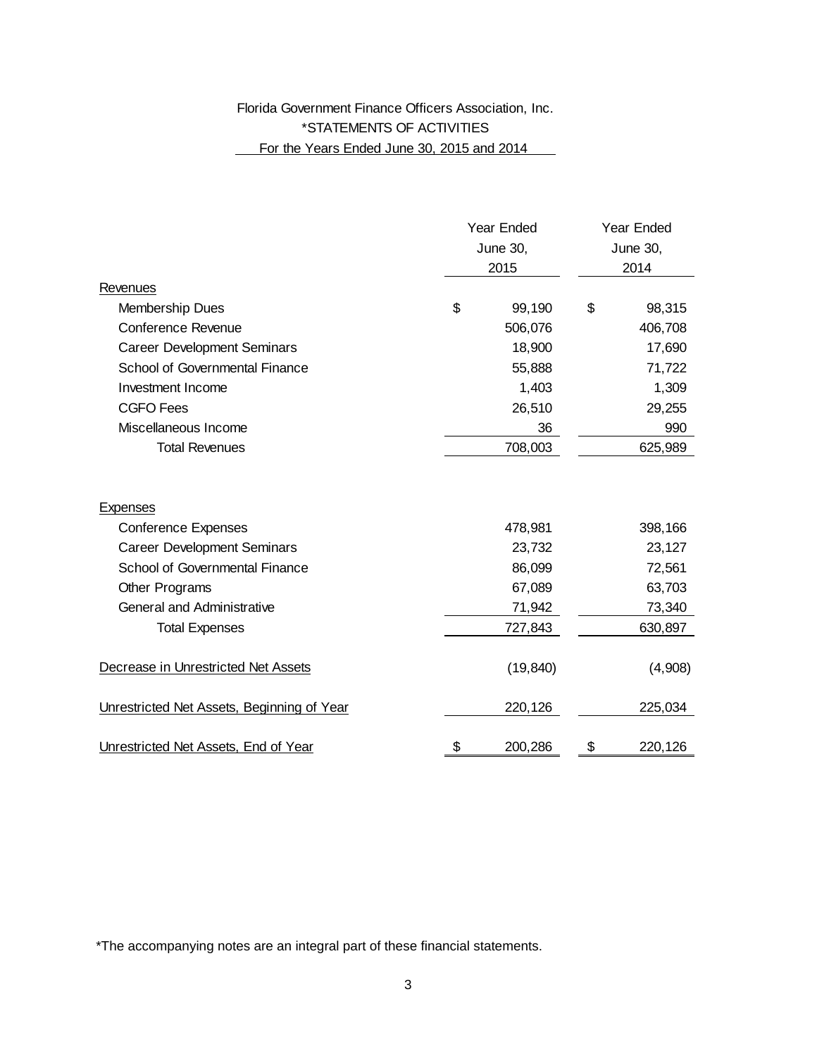# Florida Government Finance Officers Association, Inc. \*STATEMENTS OF ACTIVITIES For the Years Ended June 30, 2015 and 2014

|                                            | Year Ended<br>June 30,<br>2015 |           | Year Ended<br>June 30,<br>2014 |         |
|--------------------------------------------|--------------------------------|-----------|--------------------------------|---------|
| Revenues                                   |                                |           |                                |         |
| Membership Dues                            | \$                             | 99,190    | \$                             | 98,315  |
| <b>Conference Revenue</b>                  |                                | 506,076   |                                | 406,708 |
| <b>Career Development Seminars</b>         |                                | 18,900    |                                | 17,690  |
| School of Governmental Finance             |                                | 55,888    |                                | 71,722  |
| Investment Income                          |                                | 1,403     |                                | 1,309   |
| <b>CGFO Fees</b>                           |                                | 26,510    |                                | 29,255  |
| Miscellaneous Income                       |                                | 36        |                                | 990     |
| <b>Total Revenues</b>                      |                                | 708,003   |                                | 625,989 |
| <b>Expenses</b>                            |                                |           |                                |         |
| <b>Conference Expenses</b>                 |                                | 478,981   |                                | 398,166 |
| <b>Career Development Seminars</b>         |                                | 23,732    |                                | 23,127  |
| School of Governmental Finance             |                                | 86,099    |                                | 72,561  |
| Other Programs                             |                                | 67,089    |                                | 63,703  |
| General and Administrative                 |                                | 71,942    |                                | 73,340  |
| <b>Total Expenses</b>                      |                                | 727,843   |                                | 630,897 |
| Decrease in Unrestricted Net Assets        |                                | (19, 840) |                                | (4,908) |
| Unrestricted Net Assets, Beginning of Year |                                | 220,126   |                                | 225,034 |
| Unrestricted Net Assets, End of Year       | \$                             | 200,286   | \$                             | 220,126 |

\*The accompanying notes are an integral part of these financial statements.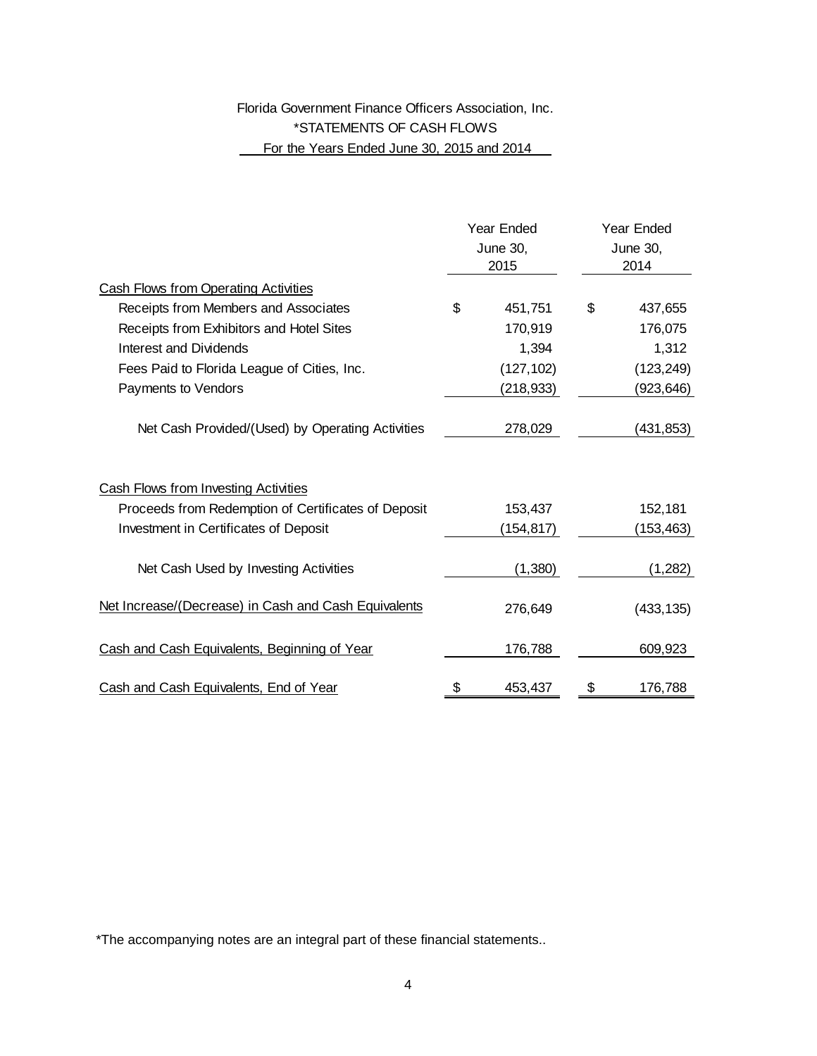# Florida Government Finance Officers Association, Inc. \*STATEMENTS OF CASH FLOWS For the Years Ended June 30, 2015 and 2014

|                                                      |    | Year Ended<br>June 30,<br>2015 |    | Year Ended<br>June 30,<br>2014 |  |
|------------------------------------------------------|----|--------------------------------|----|--------------------------------|--|
| <b>Cash Flows from Operating Activities</b>          |    |                                |    |                                |  |
| Receipts from Members and Associates                 | \$ | 451,751                        | \$ | 437,655                        |  |
| Receipts from Exhibitors and Hotel Sites             |    | 170,919                        |    | 176,075                        |  |
| Interest and Dividends                               |    | 1,394                          |    | 1,312                          |  |
| Fees Paid to Florida League of Cities, Inc.          |    | (127, 102)                     |    | (123, 249)                     |  |
| Payments to Vendors                                  |    | (218,933)                      |    | (923,646)                      |  |
| Net Cash Provided/(Used) by Operating Activities     |    | 278,029                        |    | (431,853)                      |  |
| <b>Cash Flows from Investing Activities</b>          |    |                                |    |                                |  |
| Proceeds from Redemption of Certificates of Deposit  |    | 153,437                        |    | 152,181                        |  |
| Investment in Certificates of Deposit                |    | (154,817)                      |    | (153,463)                      |  |
| Net Cash Used by Investing Activities                |    | (1,380)                        |    | (1,282)                        |  |
| Net Increase/(Decrease) in Cash and Cash Equivalents |    | 276,649                        |    | (433, 135)                     |  |
| Cash and Cash Equivalents, Beginning of Year         |    | 176,788                        |    | 609,923                        |  |
| Cash and Cash Equivalents, End of Year               | \$ | 453,437                        | \$ | 176,788                        |  |

\*The accompanying notes are an integral part of these financial statements..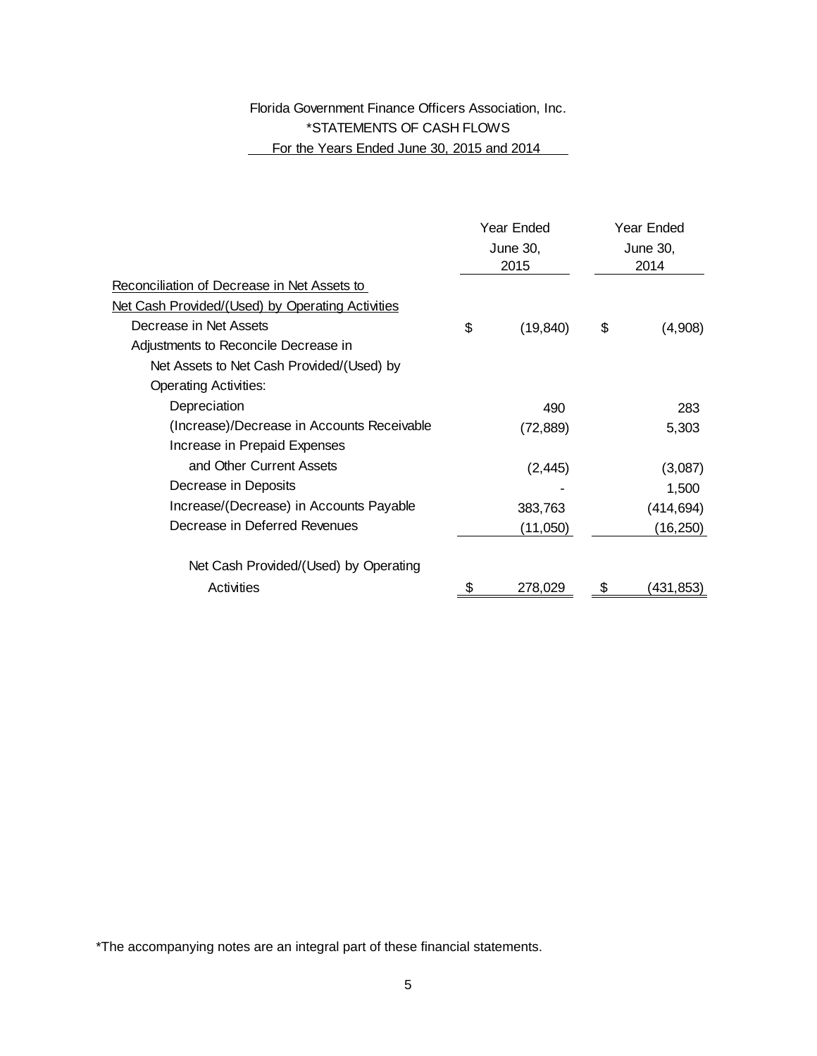# Florida Government Finance Officers Association, Inc. \*STATEMENTS OF CASH FLOWS For the Years Ended June 30, 2015 and 2014

|                                                  | Year Ended |                  | <b>Year Ended</b> |                  |  |
|--------------------------------------------------|------------|------------------|-------------------|------------------|--|
|                                                  |            | June 30,<br>2015 |                   | June 30,<br>2014 |  |
| Reconciliation of Decrease in Net Assets to      |            |                  |                   |                  |  |
| Net Cash Provided/(Used) by Operating Activities |            |                  |                   |                  |  |
| Decrease in Net Assets                           | \$         | (19, 840)        | \$                | (4,908)          |  |
| Adjustments to Reconcile Decrease in             |            |                  |                   |                  |  |
| Net Assets to Net Cash Provided/(Used) by        |            |                  |                   |                  |  |
| <b>Operating Activities:</b>                     |            |                  |                   |                  |  |
| Depreciation                                     |            | 490              |                   | 283              |  |
| (Increase)/Decrease in Accounts Receivable       |            | (72, 889)        |                   | 5,303            |  |
| Increase in Prepaid Expenses                     |            |                  |                   |                  |  |
| and Other Current Assets                         |            | (2, 445)         |                   | (3,087)          |  |
| Decrease in Deposits                             |            |                  |                   | 1,500            |  |
| Increase/(Decrease) in Accounts Payable          |            | 383,763          |                   | (414,694)        |  |
| Decrease in Deferred Revenues                    |            | (11,050)         |                   | (16, 250)        |  |
| Net Cash Provided/(Used) by Operating            |            |                  |                   |                  |  |
| <b>Activities</b>                                |            | 278,029          |                   | (431,853)        |  |

\*The accompanying notes are an integral part of these financial statements.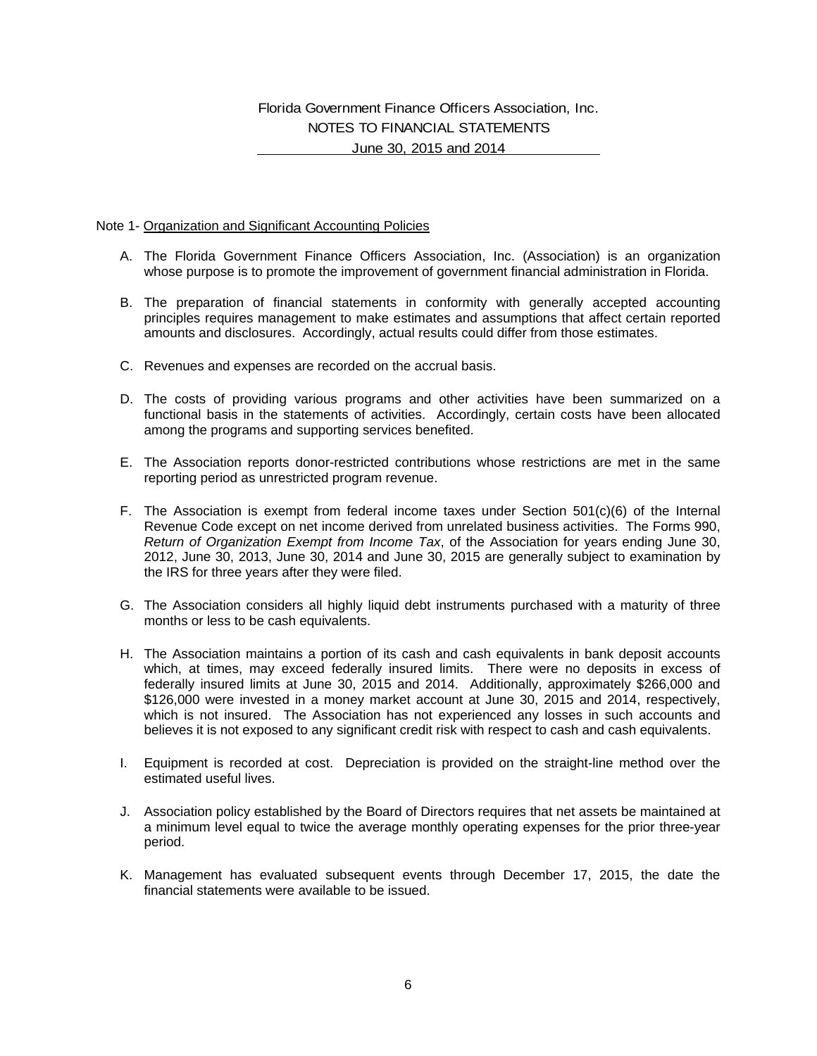## Florida Government Finance Officers Association, Inc. NOTES TO FINANCIAL STATEMENTS June 30, 2015 and 2014

### Note 1- Organization and Significant Accounting Policies

- A. The Florida Government Finance Officers Association, Inc. (Association) is an organization whose purpose is to promote the improvement of government financial administration in Florida.
- B. The preparation of financial statements in conformity with generally accepted accounting principles requires management to make estimates and assumptions that affect certain reported amounts and disclosures. Accordingly, actual results could differ from those estimates.
- C. Revenues and expenses are recorded on the accrual basis.
- D. The costs of providing various programs and other activities have been summarized on a functional basis in the statements of activities. Accordingly, certain costs have been allocated among the programs and supporting services benefited.
- E. The Association reports donor-restricted contributions whose restrictions are met in the same reporting period as unrestricted program revenue.
- F. The Association is exempt from federal income taxes under Section 501(c)(6) of the Internal Revenue Code except on net income derived from unrelated business activities. The Forms 990, *Return of Organization Exempt from Income Tax*, of the Association for years ending June 30, 2012, June 30, 2013, June 30, 2014 and June 30, 2015 are generally subject to examination by the IRS for three years after they were filed.
- G. The Association considers all highly liquid debt instruments purchased with a maturity of three months or less to be cash equivalents.
- H. The Association maintains a portion of its cash and cash equivalents in bank deposit accounts which, at times, may exceed federally insured limits. There were no deposits in excess of federally insured limits at June 30, 2015 and 2014. Additionally, approximately \$266,000 and \$126,000 were invested in a money market account at June 30, 2015 and 2014, respectively, which is not insured. The Association has not experienced any losses in such accounts and believes it is not exposed to any significant credit risk with respect to cash and cash equivalents.
- I. Equipment is recorded at cost. Depreciation is provided on the straight-line method over the estimated useful lives.
- J. Association policy established by the Board of Directors requires that net assets be maintained at a minimum level equal to twice the average monthly operating expenses for the prior three-year period.
- K. Management has evaluated subsequent events through December 17, 2015, the date the financial statements were available to be issued.